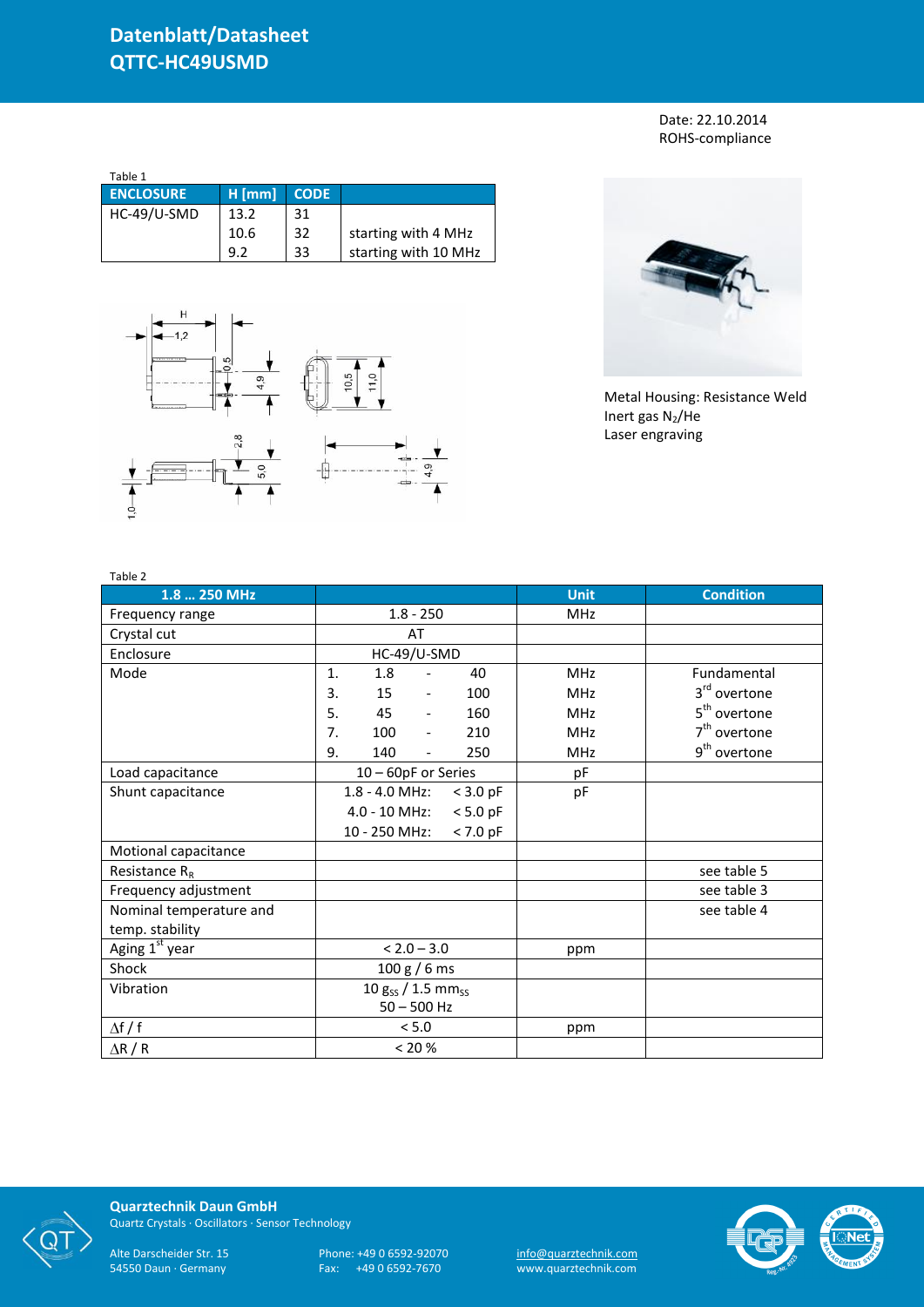Date: 22.10.2014 ROHS-compliance

| Table 1          |          |             |                      |
|------------------|----------|-------------|----------------------|
| <b>ENCLOSURE</b> | $H$ [mm] | <b>CODE</b> |                      |
| HC-49/U-SMD      | 13.2     | 31          |                      |
|                  | 10.6     | 32          | starting with 4 MHz  |
|                  | 92       | 33          | starting with 10 MHz |





Metal Housing: Resistance Weld Inert gas  $N_2$ /He Laser engraving

| Table 2                    |                                              |             |                          |
|----------------------------|----------------------------------------------|-------------|--------------------------|
| 1.8  250 MHz               |                                              | <b>Unit</b> | <b>Condition</b>         |
| Frequency range            | $1.8 - 250$                                  | <b>MHz</b>  |                          |
| Crystal cut                | AT                                           |             |                          |
| Enclosure                  | HC-49/U-SMD                                  |             |                          |
| Mode                       | 1.<br>1.8<br>40<br>$\overline{\phantom{a}}$  | <b>MHz</b>  | Fundamental              |
|                            | 15<br>3.<br>100<br>$\overline{\phantom{a}}$  | <b>MHz</b>  | 3 <sup>rd</sup> overtone |
|                            | 5.<br>45<br>160<br>$\overline{\phantom{a}}$  | <b>MHz</b>  | 5 <sup>th</sup> overtone |
|                            | 7.<br>100<br>210<br>$\overline{\phantom{a}}$ | <b>MHz</b>  | $7th$ overtone           |
|                            | 9.<br>140<br>250<br>$\overline{\phantom{0}}$ | <b>MHz</b>  | 9 <sup>th</sup> overtone |
| Load capacitance           | 10 - 60pF or Series                          | рF          |                          |
| Shunt capacitance          | $1.8 - 4.0$ MHz:<br>$<$ 3.0 pF               | pF          |                          |
|                            | $4.0 - 10$ MHz:<br>$< 5.0$ pF                |             |                          |
|                            | 10 - 250 MHz:<br>$< 7.0$ pF                  |             |                          |
| Motional capacitance       |                                              |             |                          |
| Resistance $R_R$           |                                              |             | see table 5              |
| Frequency adjustment       |                                              |             | see table 3              |
| Nominal temperature and    |                                              |             | see table 4              |
| temp. stability            |                                              |             |                          |
| Aging 1 <sup>st</sup> year | $< 2.0 - 3.0$                                | ppm         |                          |
| Shock                      | 100 g / 6 ms                                 |             |                          |
| Vibration                  | 10 $g_{SS}$ / 1.5 mm <sub>ss</sub>           |             |                          |
|                            | $50 - 500$ Hz                                |             |                          |
| $\Delta f / f$             | < 5.0                                        | ppm         |                          |
| $\Delta$ R / R             | < 20 %                                       |             |                          |



**Quarztechnik Daun GmbH** Quartz Crystals · Oscillators · Sensor Technology

Alte Darscheider Str. 15 Phone: +49 0 6592-92070 <u>info@quarztechnik.com</u> 54550 Daun · Germany Fax: +49 0 6592-7670 www.quarztechnik.com